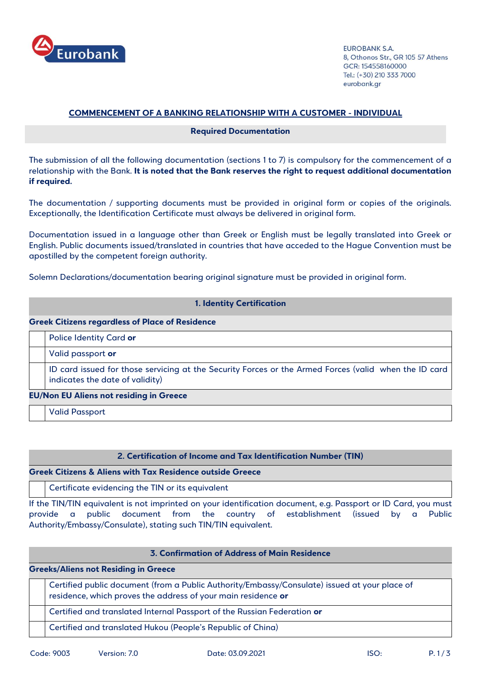

FURORANK S.A. 8, Othonos Str., GR 105 57 Athens GCR: 154558160000 Tel.: (+30) 210 333 7000 eurobank.gr

# **COMMENCEMENT OF A BANKING RELATIONSHIP WITH A CUSTOMER - INDIVIDUAL**

## **Required Documentation**

The submission of all the following documentation (sections 1 to 7) is compulsory for the commencement of a relationship with the Bank. **It is noted that the Bank reserves the right to request additional documentation if required.**

The documentation / supporting documents must be provided in original form or copies of the originals. Exceptionally, the Identification Certificate must always be delivered in original form.

Documentation issued in a language other than Greek or English must be legally translated into Greek or English. Public documents issued/translated in countries that have acceded to the Hague Convention must be apostilled by the competent foreign authority.

Solemn Declarations/documentation bearing original signature must be provided in original form.

|                                                        | <b>1. Identity Certification</b>                                                                                                         |  |
|--------------------------------------------------------|------------------------------------------------------------------------------------------------------------------------------------------|--|
| <b>Greek Citizens regardless of Place of Residence</b> |                                                                                                                                          |  |
|                                                        | <b>Police Identity Card or</b>                                                                                                           |  |
|                                                        | Valid passport or                                                                                                                        |  |
|                                                        | ID card issued for those servicing at the Security Forces or the Armed Forces (valid when the ID card<br>indicates the date of validity) |  |
| <b>EU/Non EU Aliens not residing in Greece</b>         |                                                                                                                                          |  |
|                                                        | <b>Valid Passport</b>                                                                                                                    |  |

## **2. Certification of Income and Tax Identification Number (TIN)**

**Greek Citizens & Aliens with Tax Residence outside Greece**

Certificate evidencing the TIN or its equivalent

If the TIN/TIN equivalent is not imprinted on your identification document, e.g. Passport or ID Card, you must provide a public document from the country of establishment (issued by a Public Authority/Embassy/Consulate), stating such TIN/TIN equivalent.

# **3. Confirmation of Address of Main Residence**

**Greeks/Aliens not Residing in Greece** 

| Certified public document (from a Public Authority/Embassy/Consulate) issued at your place of |
|-----------------------------------------------------------------------------------------------|
| residence, which proves the address of your main residence or                                 |

Certified and translated Internal Passport of the Russian Federation **or**

Certified and translated Hukou (People's Republic of China)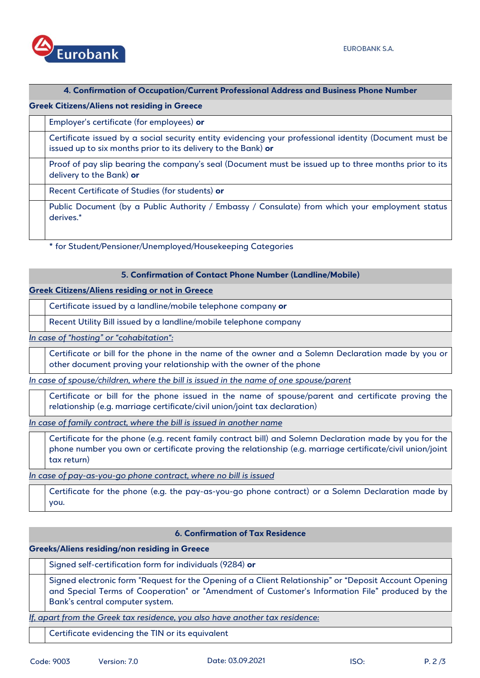## **4. Confirmation of Occupation/Current Professional Address and Business Phone Number**

# **Greek Citizens/Aliens not residing in Greece**

| Employer's certificate (for employees) or                                                                                                                               |
|-------------------------------------------------------------------------------------------------------------------------------------------------------------------------|
| Certificate issued by a social security entity evidencing your professional identity (Document must be<br>issued up to six months prior to its delivery to the Bank) or |
| Proof of pay slip bearing the company's seal (Document must be issued up to three months prior to its<br>delivery to the Bank) or                                       |
| Recent Certificate of Studies (for students) or                                                                                                                         |
| Public Document (by a Public Authority / Embassy / Consulate) from which your employment status<br>derives.*                                                            |

**\*** for Student/Pensioner/Unemployed/Housekeeping Categories

## **5. Confirmation of Contact Phone Number (Landline/Mobile)**

## **Greek Citizens/Aliens residing or not in Greece**

Certificate issued by a landline/mobile telephone company **or**

Recent Utility Bill issued by a landline/mobile telephone company

*In case of "hosting" or "cohabitation":*

Certificate or bill for the phone in the name of the owner and a Solemn Declaration made by you or other document proving your relationship with the owner of the phone

*In case of spouse/children, where the bill is issued in the name of one spouse/parent*

Certificate or bill for the phone issued in the name of spouse/parent and certificate proving the relationship (e.g. marriage certificate/civil union/joint tax declaration)

*In case of family contract, where the bill is issued in another name*

Certificate for the phone (e.g. recent family contract bill) and Solemn Declaration made by you for the phone number you own or certificate proving the relationship (e.g. marriage certificate/civil union/joint tax return)

*In case of pay-as-you-go phone contract, where no bill is issued*

Certificate for the phone (e.g. the pay-as-you-go phone contract) or a Solemn Declaration made by you.

# **6. Confirmation of Tax Residence**

**Greeks/Aliens residing/non residing in Greece**

Signed self-certification form for individuals (9284) **or**

Signed electronic form "Request for the Opening of a Client Relationship" or "Deposit Account Opening and Special Terms of Cooperation" or "Amendment of Customer's Information File" produced by the Bank's central computer system.

**If, apart from the Greek tax residence, you also have another tax residence:** 

Certificate evidencing the TIN or its equivalent